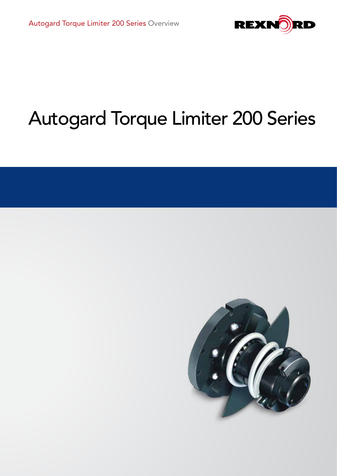

# Autogard Torque Limiter 200 Series

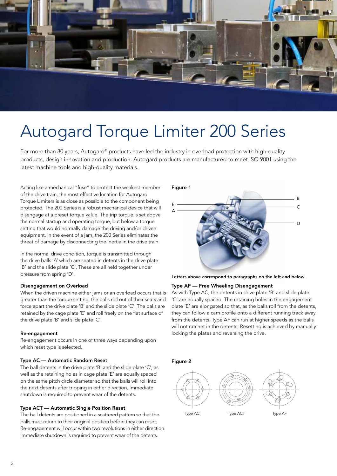

## Autogard Torque Limiter 200 Series

For more than 80 years, Autogard® products have led the industry in overload protection with high-quality products, design innovation and production. Autogard products are manufactured to meet ISO 9001 using the latest machine tools and high-quality materials.

Acting like a mechanical "fuse" to protect the weakest member of the drive train, the most effective location for Autogard Torque Limiters is as close as possible to the component being protected. The 200 Series is a robust mechanical device that will disengage at a preset torque value. The trip torque is set above the normal startup and operating torque, but below a torque setting that would normally damage the driving and/or driven equipment. In the event of a jam, the 200 Series eliminates the threat of damage by disconnecting the inertia in the drive train.

In the normal drive condition, torque is transmitted through the drive balls 'A' which are seated in detents in the drive plate 'B' and the slide plate 'C', These are all held together under pressure from spring 'D'.

### Disengagement on Overload

When the driven machine either jams or an overload occurs that is greater than the torque setting, the balls roll out of their seats and force apart the drive plate 'B' and the slide plate 'C'. The balls are retained by the cage plate 'E' and roll freely on the flat surface of the drive plate 'B' and slide plate 'C'.

#### Re-engagement

Re-engagement occurs in one of three ways depending upon which reset type is selected.

### Type AC — Automatic Random Reset

The ball detents in the drive plate 'B' and the slide plate 'C', as well as the retaining holes in cage plate 'E' are equally spaced on the same pitch circle diameter so that the balls will roll into the next detents after tripping in either direction. Immediate shutdown is required to prevent wear of the detents.

### Type ACT — Automatic Single Position Reset

The ball detents are positioned in a scattered pattern so that the balls must return to their original position before they can reset. Re-engagement will occur within two revolutions in either direction. Immediate shutdown is required to prevent wear of the detents.

### Figure 1





### Type AF — Free Wheeling Disengagement

As with Type AC, the detents in drive plate 'B' and slide plate 'C' are equally spaced. The retaining holes in the engagement plate 'E' are elongated so that, as the balls roll from the detents, they can follow a cam profile onto a different running track away from the detents. Type AF can run at higher speeds as the balls will not ratchet in the detents. Resetting is achieved by manually locking the plates and reversing the drive.



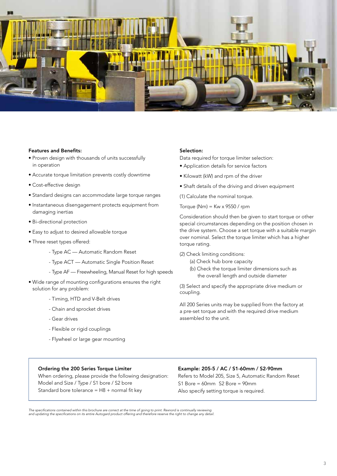

#### Features and Benefits:

- Proven design with thousands of units successfully in operation
- Accurate torque limitation prevents costly downtime
- Cost-effective design
- Standard designs can accommodate large torque ranges
- Instantaneous disengagement protects equipment from damaging inertias
- Bi-directional protection
- Easy to adjust to desired allowable torque
- Three reset types offered:
	- Type AC Automatic Random Reset
	- Type ACT Automatic Single Position Reset
	- Type AF Freewheeling, Manual Reset for high speeds
- Wide range of mounting configurations ensures the right solution for any problem:
	- Timing, HTD and V-Belt drives
	- Chain and sprocket drives
	- Gear drives
	- Flexible or rigid couplings
	- Flywheel or large gear mounting

#### Selection:

Data required for torque limiter selection:

- Application details for service factors
- Kilowatt (kW) and rpm of the driver
- Shaft details of the driving and driven equipment
- (1) Calculate the nominal torque.

Torque (Nm) =  $Kw \times 9550 / rpm$ 

Consideration should then be given to start torque or other special circumstances depending on the position chosen in the drive system. Choose a set torque with a suitable margin over nominal. Select the torque limiter which has a higher torque rating.

(2) Check limiting conditions:

- (a) Check hub bore capacity
- (b) Check the torque limiter dimensions such as the overall length and outside diameter

(3) Select and specify the appropriate drive medium or coupling.

All 200 Series units may be supplied from the factory at a pre-set torque and with the required drive medium assembled to the unit.

### Ordering the 200 Series Torque Limiter

When ordering, please provide the following designation: Model and Size / Type / S1 bore / S2 bore Standard bore tolerance =  $H8 +$  normal fit key

### Example: 205-5 / AC / S1-60mm / S2-90mm

Refers to Model 205, Size 5, Automatic Random Reset S1 Bore = 60mm S2 Bore = 90mm Also specify setting torque is required.

The specifications contained within this brochure are correct at the time of going to print. Rexnord is continually reviewing<br>and updating the specifications on its entire Autogard product offering and therefore reserve th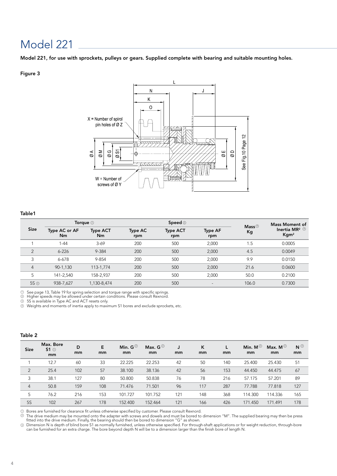Model 221, for use with sprockets, pulleys or gears. Supplied complete with bearing and suitable mounting holes.

### Figure 3



### Table1

|                |                     | Torque $\circledcirc$ |                       | Speed $\circledcirc$   |                          | Mass $@$ | <b>Mass Moment of</b>                                                    |  |
|----------------|---------------------|-----------------------|-----------------------|------------------------|--------------------------|----------|--------------------------------------------------------------------------|--|
| <b>Size</b>    | Type AC or AF<br>Nm | <b>Type ACT</b><br>Nm | <b>Type AC</b><br>rpm | <b>Type ACT</b><br>rpm | <b>Type AF</b><br>rpm    | Kg       | Inertia MR <sup>2 <math>\circledcirc</math></sup><br>$K$ gm <sup>2</sup> |  |
|                | $1 - 44$            | $3-69$                | 200                   | 500                    | 2,000                    | 1.5      | 0.0005                                                                   |  |
| $\overline{2}$ | $6 - 226$           | 9-384                 | 200                   | 500                    | 2,000                    | 4.5      | 0.0049                                                                   |  |
| 3              | $6 - 678$           | 9-854                 | 200                   | 500                    | 2,000                    | 9.9      | 0.0150                                                                   |  |
| $\overline{4}$ | 90-1,130            | 113-1,774             | 200                   | 500                    | 2,000                    | 21.6     | 0.0600                                                                   |  |
| 5              | 141-2.540           | 158-2.937             | 200                   | 500                    | 2,000                    | 50.0     | 0.2100                                                                   |  |
| $5S$ $\odot$   | 938-7,627           | 1,130-8,474           | 200                   | 500                    | $\overline{\phantom{0}}$ | 106.0    | 0.7300                                                                   |  |

 $\mathbb D$  See page 13, Table 19 for spring selection and torque range with specific springs.<br>D Higher speeds may be allowed under certain conditions. Please consult Rexnord.

5S is available in Type AC and ACT resets only.  $\overline{\odot}$ 

 $\mathbb D$  Weights and moments of inertia apply to maximum S1 bores and exclude sprockets, etc.

### Table 2

| Size           | Max. Bore<br>$51^\circ$<br>mm | D<br>mm | E<br>mm | Min. $G^{\circledcirc}$<br><sub>mm</sub> | Max. $G^{(2)}$<br>mm | J<br>mm | ĸ<br>mm | mm  | Min. $M^{\odot}$<br>mm | Max. M $^{\circledR}$<br>mm | $N^{\odot}$<br>mm |
|----------------|-------------------------------|---------|---------|------------------------------------------|----------------------|---------|---------|-----|------------------------|-----------------------------|-------------------|
|                | 12.7                          | 60      | 33      | 22.225                                   | 22.253               | 42      | 50      | 140 | 25.400                 | 25.430                      | 51                |
| $\overline{2}$ | 25.4                          | 102     | 57      | 38.100                                   | 38.136               | 42      | 56      | 153 | 44.450                 | 44.475                      | 67                |
| 3              | 38.1                          | 127     | 80      | 50.800                                   | 50.838               | 76      | 78      | 216 | 57.175                 | 57.201                      | 89                |
| $\overline{4}$ | 50.8                          | 159     | 108     | 71.476                                   | 71.501               | 96      | 117     | 287 | 77.788                 | 77.818                      | 127               |
| 5              | 76.2                          | 216     | 153     | 101.727                                  | 101.752              | 121     | 148     | 368 | 114.300                | 114.336                     | 165               |
| <b>5S</b>      | 102                           | 267     | 178     | 152.400                                  | 152.464              | 121     | 166     | 426 | 171.450                | 171.491                     | 178               |

 $\mathbb D$  Bores are furnished for clearance fit unless otherwise specified by customer. Please consult Rexnord.<br>2) The drive modium may be mounted onto the adapter with screws and dowels and must be bored to

The drive medium may be mounted onto the adapter with screws and dowels and must be bored to dimension "M". The supplied bearing may then be press<br>fitted into the drive medium. Finally, the bearing should then be bored to

Dimension N is depth of blind bore S1 as normally furnished, unless otherwise specified. For through-shaft applications or for weight reduction, through-bore 3 can be furnished for an extra charge. The bore beyond depth N will be to a dimension larger than the finish bore of length N.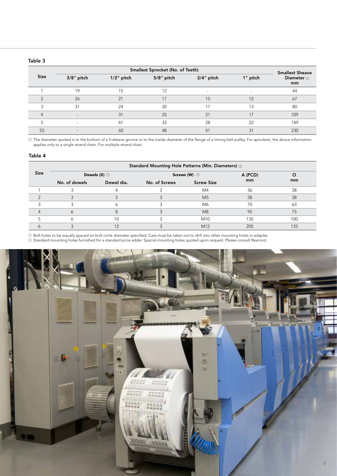### Table 3

|             |                          |               | Smallest Sprocket (No. of Teeth) |                          |          | <b>Smallest Sheave</b> |
|-------------|--------------------------|---------------|----------------------------------|--------------------------|----------|------------------------|
| <b>Size</b> | $3/8"$ pitch             | $1/2$ " pitch | 5/8" pitch                       | $3/4"$ pitch             | 1" pitch | Diameter $\odot$<br>mm |
|             | 19                       | 15            | 12                               | $\overline{\phantom{a}}$ |          | 44                     |
|             | 26                       | 21            | 17                               | 15                       | 12       | 67                     |
|             | 31                       | 24            | 20                               | 17                       | 13       | 80                     |
| 4           | $\overline{\phantom{a}}$ | 31            | 25                               | 21                       | 17       | 109                    |
|             | $\sim$                   | 41            | 33                               | 28                       | 22       | 149                    |
| <b>5S</b>   | $\overline{\phantom{a}}$ | 60            | 48                               | 41                       | 31       | 230                    |

 $\mathbb D$  The diameter quoted is to the bottom of a V-sheave groove or to the inside diameter of the flange of a timing belt pulley. For sprockets, the above information applies only to a single strand chain. For multiple strand chain.

### Table 4

|             | Standard Mounting Hole Patterns (Min. Diameters) 2 |                      |               |                           |         |     |  |  |  |  |  |  |
|-------------|----------------------------------------------------|----------------------|---------------|---------------------------|---------|-----|--|--|--|--|--|--|
| <b>Size</b> |                                                    | Dowels $(X)$ $\odot$ |               | Screws (W) $\circledcirc$ | A (PCD) |     |  |  |  |  |  |  |
|             | No. of dowels                                      | Dowel dia.           | No. of Screws | <b>Screw Size</b>         | mm      | mm  |  |  |  |  |  |  |
|             |                                                    |                      |               | M4                        | 36      | 38  |  |  |  |  |  |  |
|             |                                                    |                      |               | M <sub>5</sub>            | 58      | 38  |  |  |  |  |  |  |
|             |                                                    |                      |               | M6                        | 70      | 63  |  |  |  |  |  |  |
|             |                                                    |                      |               | M8                        | 95      | 75  |  |  |  |  |  |  |
|             |                                                    | 10                   |               | M <sub>10</sub>           | 135     | 100 |  |  |  |  |  |  |
|             |                                                    |                      |               | M <sub>12</sub>           | 205     | 135 |  |  |  |  |  |  |

Bolt holes to be equally spaced on bolt circle diameter specified. Care must be taken not to drill into other mounting holes in adapter.

Standard mounting holes furnished for a standard price adder. Special mounting holes quoted upon request. Please consult Rexnord. 1 8ì G m D  $c\epsilon$ 5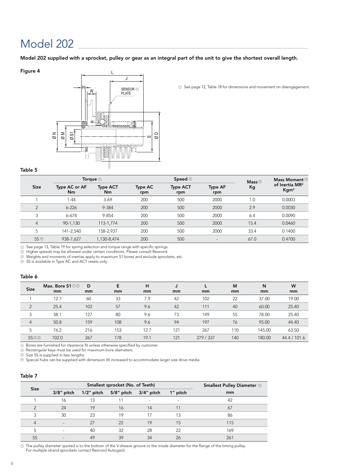Model 202 supplied with a sprocket, pulley or gear as an integral part of the unit to give the shortest overall length.

### Figure 4



 $\circledcirc$  See page 12, Table 18 for dimensions and movement on disengagement.

#### Table 5

|                     |                     | Torque $\odot$        |                | Speed $\circledcirc$   |                          | Mass $\circledcirc$ | Mass Moment <sup>3</sup>                          |
|---------------------|---------------------|-----------------------|----------------|------------------------|--------------------------|---------------------|---------------------------------------------------|
| <b>Size</b>         | Type AC or AF<br>Nm | <b>Type ACT</b><br>Nm | Type AC<br>rpm | <b>Type ACT</b><br>rpm | <b>Type AF</b><br>rpm    | Kg                  | of Inertia MR <sup>2</sup><br>$K$ gm <sup>2</sup> |
|                     | $1 - 44$            | $3-69$                | 200            | 500                    | 2000                     | 1.0                 | 0.0003                                            |
| $\overline{2}$      | $6 - 226$           | 9-384                 | 200            | 500                    | 2000                     | 2.9                 | 0.0030                                            |
| 3                   | $6 - 678$           | 9-854                 | 200            | 500                    | 2000                     | 6.4                 | 0.0090                                            |
| $\overline{4}$      | 90-1,130            | 113-1,774             | 200            | 500                    | 2000                     | 15.4                | 0.0460                                            |
| 5                   | 141-2.540           | 158-2.937             | 200            | 500                    | 2000                     | 33.4                | 0.1400                                            |
| $5S$ $\circledcirc$ | 938-7,627           | 1,130-8,474           | 200            | 500                    | $\overline{\phantom{a}}$ | 67.0                | 0.4700                                            |
|                     |                     |                       |                |                        |                          |                     |                                                   |

See page 13, Table 19 for spring selection and torque range with specific springs.

<sub>り</sub> See page 13, Table 19 tor spring selection and torque range with specific springs<br>② Higher speeds may be allowed under certain conditions. Please consult Rexnord. 2

 $\mathbb D$  Weights and moments of inertias apply to maximum S1 bores and exclude sprockets, etc.

 $\mathfrak D$  5S is available in Type AC and ACT resets only.

### Table 6

| <b>Size</b>    | Max. Bore $$1^{\circ}$<br>mm | D<br>mm | Е<br>mm | н<br>mm | J<br>mm | <b>L</b><br>mm | M<br>mm | N<br>mm | W<br>mm      |
|----------------|------------------------------|---------|---------|---------|---------|----------------|---------|---------|--------------|
|                | 12.7                         | 60      | 33      | 7.9     | 42      | 102            | 22      | 37.00   | 19.00        |
| $\overline{2}$ | 25.4                         | 102     | 57      | 9.6     | 42      | 111            | 40      | 60.00   | 25.40        |
| 3              | 38.1                         | 127     | 80      | 9.6     | 73      | 149            | 55      | 78.00   | 25.40        |
| $\overline{4}$ | 50.8                         | 159     | 108     | 9.6     | 94      | 197            | 76      | 95.00   | 44.40        |
| 5              | 76.2                         | 216     | 153     | 12.7    | 121     | 267            | 110     | 145.00  | 63.50        |
| 5S@@           | 102.0                        | 267     | 178     | 19.1    | 121     | 279 / 337      | 140     | 180.00  | 44.4 / 101.6 |

 ${\mathbb D}$  Bores are furnished for clearance fit unless otherwise specified by customer.

Rectangular keys must be used for maximum bore diameters. 2

Size 5S is supplied in two lengths.

 $\mathbb D$  Size 5S is supplied in two lengths.<br> $\mathbb D$  Special hubs can be supplied with dimension W increased to accommodate larger size drive media. 4

### Table 7

| <b>Size</b> |                          |    | Smallest sprocket (No. of Teeth) |            |          | <b>Smallest Pulley Diameter O</b> |  |  |
|-------------|--------------------------|----|----------------------------------|------------|----------|-----------------------------------|--|--|
|             | $3/8$ " pitch            |    | 1/2" pitch 5/8" pitch            | 3/4" pitch | 1" pitch | mm                                |  |  |
|             | 16                       | 13 | 11                               |            |          | 42                                |  |  |
|             | 24                       | 19 | 16                               | 14         |          | 67                                |  |  |
|             | 30                       | 23 | 19                               | 17         | 13       | 86                                |  |  |
| 4           | $\overline{\phantom{a}}$ | 27 | 22                               | 19         | 15       | 115                               |  |  |
|             | $\overline{\phantom{a}}$ | 40 | 32                               | 28         | 22       | 169                               |  |  |
| 5S          |                          | 49 | 39                               | 34         | 26       | 261                               |  |  |

 ${\mathbb D}$  The pulley diameter quoted is to the bottom of the V-sheave groove or the inisde diameter for the flange of the timing pulley. For multiple strand sprockets contact Rexnord Autogard.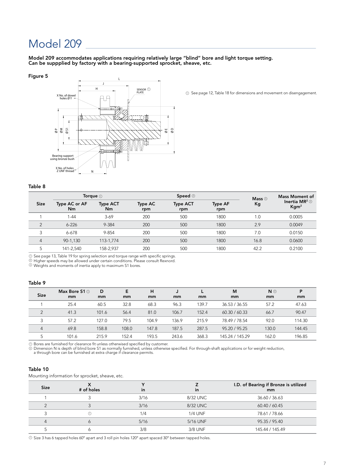Model 209 accommodates applications requiring relatively large "blind" bore and light torque setting. Can be suppplied by factory with a bearing-supported sprocket, sheave, etc.

#### Figure 5



See page 12, Table 18 for dimensions and movement on disengagement. <sup>1</sup>

### Table 8

|                |                     | Torque $\circledcirc$ |                | Speed 2                | Mass $\circledcirc$   | Mass Moment of |                                                            |
|----------------|---------------------|-----------------------|----------------|------------------------|-----------------------|----------------|------------------------------------------------------------|
| <b>Size</b>    | Type AC or AF<br>Nm | <b>Type ACT</b><br>Nm | Type AC<br>rpm | <b>Type ACT</b><br>rpm | <b>Type AF</b><br>rpm | Кg             | Inertia MR <sup>2</sup> $\circledcirc$<br>Kgm <sup>2</sup> |
|                | $1 - 44$            | $3-69$                | 200            | 500                    | 1800                  | 1.0            | 0.0005                                                     |
| $\mathcal{D}$  | $6 - 226$           | 9-384                 | 200            | 500                    | 1800                  | 2.9            | 0.0049                                                     |
|                | $6 - 678$           | 9-854                 | 200            | 500                    | 1800                  | 7.0            | 0.0150                                                     |
| $\overline{4}$ | 90-1.130            | 113-1.774             | 200            | 500                    | 1800                  | 16.8           | 0.0600                                                     |
| 5              | 141-2.540           | 158-2.937             | 200            | 500                    | 1800                  | 42.2           | 0.2100                                                     |

See page 13, Table 19 for spring selection and torque range with specific springs.

Higher speeds may be allowed under certain conditions. Please consult Rexnord. 1 2

Weights and moments of inertia apply to maximum S1 bores. 3

### Table 9

| <b>Size</b>    | Max Bore $S1@$<br>mm | D<br>mm | Е<br>mm | н<br>mm | mm    | mm    | M<br>mm         | $N$ $\odot$<br>mm | P<br>mm |
|----------------|----------------------|---------|---------|---------|-------|-------|-----------------|-------------------|---------|
|                | 25.4                 | 60.5    | 32.8    | 68.3    | 96.3  | 139.7 | 36.53 / 36.55   | 57.2              | 47.63   |
| $\overline{2}$ | 41.3                 | 101.6   | 56.4    | 81.0    | 106.7 | 152.4 | 60.30 / 60.33   | 66.7              | 90.47   |
| ς<br>$\cdot$   | 57.2                 | 127.0   | 79.5    | 104.9   | 136.9 | 215.9 | 78.49 / 78.54   | 92.0              | 114.30  |
| $\overline{4}$ | 69.8                 | 158.8   | 108.0   | 147.8   | 187.5 | 287.5 | 95.20 / 95.25   | 130.0             | 144.45  |
|                | 101.6                | 215.9   | 152.4   | 193.5   | 243.6 | 368.3 | 145.24 / 145.29 | 162.0             | 196.85  |

Bores are furnished for clearance fit unless otherwised specified by customer.<br>Dimension N is depth of blind bore S1 as normally furnished, unless otherwise specified. For through-shaft applications or for weight reduction 1 2

### Table 10

Mounting information for sprocket, sheave, etc.

| $\tilde{}$  |            |      |                |                                             |
|-------------|------------|------|----------------|---------------------------------------------|
| <b>Size</b> | # of holes | in   | <i>in</i>      | I.D. of Bearing if Bronze is utilized<br>mm |
|             |            | 3/16 | 8/32 UNC       | 36.60 / 36.63                               |
|             |            | 3/16 | 8/32 UNC       | 60.40 / 60.45                               |
|             |            | 1/4  | <b>1/4 UNF</b> | 78.61 / 78.66                               |
| 4           | Ô          | 5/16 | 5/16 UNF       | 95.35 / 95.40                               |
|             |            | 3/8  | 3/8 UNF        | 145.44 / 145.49                             |
|             |            |      |                |                                             |

 $\odot$  Size 3 has 6 tapped holes 60° apart and 3 roll pin holes 120° apart spaced 30° between tapped holes.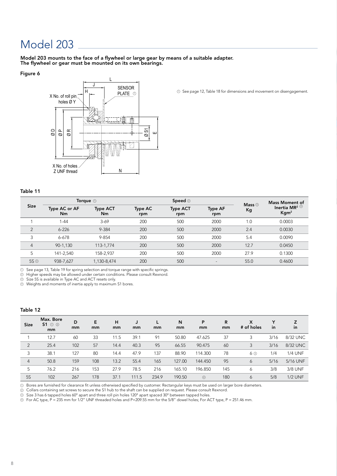Model 203 mounts to the face of a flywheel or large gear by means of a suitable adapter. The flywheel or gear must be mounted on its own bearings.

### Figure 6



Table 11

|                                    |                                 | Torque $\circledcirc$ |                       | Speed $\circledcirc$   |                          |                           | <b>Mass Moment of</b>                                         |
|------------------------------------|---------------------------------|-----------------------|-----------------------|------------------------|--------------------------|---------------------------|---------------------------------------------------------------|
| <b>Size</b>                        | Type AC or AF<br>N <sub>m</sub> | <b>Type ACT</b><br>Nm | <b>Type AC</b><br>rpm | <b>Type ACT</b><br>rpm | <b>Type AF</b><br>rpm    | Mass $\circledcirc$<br>Kg | Inertia MR <sup>2<math>\circ</math></sup><br>Kgm <sup>2</sup> |
|                                    | 1-44                            | $3-69$                | 200                   | 500                    | 2000                     | 1.0                       | 0.0003                                                        |
| $\overline{2}$                     | $6 - 226$                       | 9-384                 | 200                   | 500                    | 2000                     | 2.4                       | 0.0030                                                        |
| 3                                  | $6 - 678$                       | 9-854                 | 200                   | 500                    | 2000                     | 5.4                       | 0.0090                                                        |
| $\overline{4}$                     | 90-1,130                        | 113-1.774             | 200                   | 500                    | 2000                     | 12.7                      | 0.0450                                                        |
| 5                                  | 141-2.540                       | 158-2,937             | 200                   | 500                    | 2000                     | 27.9                      | 0.1300                                                        |
| $5S$ <sup><math>\odot</math></sup> | 938-7,627                       | 1,130-8,474           | 200                   | 500                    | $\overline{\phantom{a}}$ | 55.0                      | 0.4600                                                        |

<sup>O</sup> See page 12, Table 18 for dimensions and movement on disengagement.

 $\mathbb D$  See page 13, Table 19 for spring selection and torque range with specific springs.

 $\mathfrak D$   $\,$  Higher speeds may be allowed under certain conditions. Please consult Rexnord.

 $\mathbb D$  Size 5S is available in Type AC and ACT resets only.

Weights and moments of inertia apply to maximum S1 bores. 4

#### Table 12

| <b>Size</b>    | Max. Bore<br>$S1 \circledcirc$<br>mm | D<br>mm | Е<br>mm | н<br>mm | mm    | mm    | N<br>mm | P<br>mm        | R<br>mm | X<br># of holes | $\checkmark$<br>in | Z<br>in        |
|----------------|--------------------------------------|---------|---------|---------|-------|-------|---------|----------------|---------|-----------------|--------------------|----------------|
|                | 12.7                                 | 60      | 33      | 11.5    | 39.1  | 91    | 50.80   | 47.625         | 37      | 3               | 3/16               | 8/32 UNC       |
| $\overline{2}$ | 25.4                                 | 102     | 57      | 14.4    | 40.3  | 95    | 66.55   | 90.475         | 60      | 3               | 3/16               | 8/32 UNC       |
| 3              | 38.1                                 | 127     | 80      | 14.4    | 47.9  | 137   | 88.90   | 114.300        | 78      | 6 ③             | 1/4                | <b>1/4 UNF</b> |
| $\overline{4}$ | 50.8                                 | 159     | 108     | 13.2    | 55.4  | 165   | 127.00  | 144.450        | 95      | 6               | 5/16               | 5/16 UNF       |
| 5              | 76.2                                 | 216     | 153     | 27.9    | 78.5  | 216   | 165.10  | 196.850        | 145     | 6               | 3/8                | 3/8 UNF        |
| <b>5S</b>      | 102                                  | 267     | 178     | 37.7    | 111.5 | 234.9 | 190.50  | $\circledcirc$ | 180     | 6               | 5/8                | $1/2$ UNF      |

 ${\mathbb D}$  Bores are furnished for clearance fit unless otherwised specified by customer. Rectangular keys must be used on larger bore diameters.

Collars containing set screws to secure the S1 hub to the shaft can be supplied on request. Please consult Rexnord.  $_{\odot}$ 

 $\odot$  Size 3 has 6 tapped holes 60° apart and three roll pin holes 120° apart spaced 30° between tapped holes.

 $\odot~$  For AC type, P = 235 mm for 1/2" UNF threaded holes and P=209.55 mm for the 5/8" dowel holes; For ACT type, P = 251.46 mm.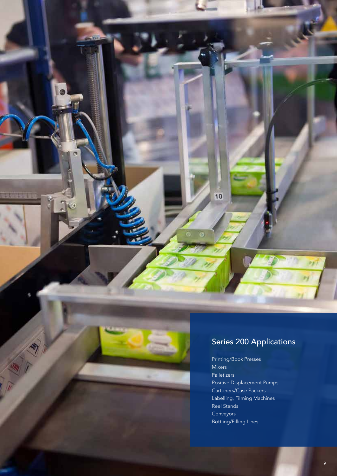

ò

### Series 200 Applications

10

Printing/Book Presses Mixers Palletizers Positive Displacement Pumps Cartoners/Case Packers Labelling, Filming Machines Reel Stands Conveyors Bottling/Filling Lines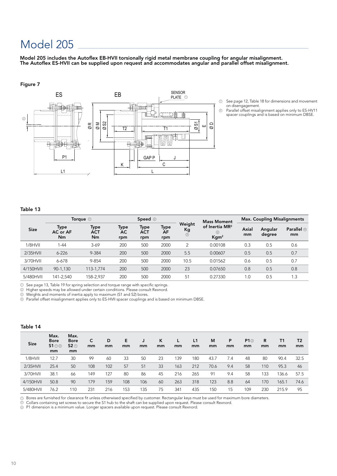Model 205 includes the Autoflex EB-HVII torsionally rigid metal membrane coupling for angular misalignment. The Autoflex ES-HVII can be supplied upon request and accommodates angular and parallel offset misalignment.

### Figure 7



- See page 12, Table 18 for dimensions and movement on disengagement.
- Parallel offset misalignment applies only to ES-HV11 spacer couplings and is based on minimum DBSE. 2

### Table 13

|             | Torque $\odot$                |                          | Speed $\circledcirc$ |                    |                          | <b>Mass Moment</b>      | <b>Max. Coupling Misalignments</b>                  |             |                   |                         |
|-------------|-------------------------------|--------------------------|----------------------|--------------------|--------------------------|-------------------------|-----------------------------------------------------|-------------|-------------------|-------------------------|
| <b>Size</b> | Type<br>AC or AF<br><b>Nm</b> | Type<br>ACT<br><b>Nm</b> | Type<br>AC<br>rpm    | Type<br>ACT<br>rpm | Type<br><b>AF</b><br>rpm | Weight<br>Kg<br>$\odot$ | of Inertia MR <sup>2</sup><br>⊙<br>Kgm <sup>2</sup> | Axial<br>mm | Angular<br>degree | <b>Parallel</b> @<br>mm |
| 1/8HVII     | 1-44                          | $3-69$                   | 200                  | 500                | 2000                     | $\overline{2}$          | 0.00108                                             | 0.3         | 0.5               | 0.6                     |
| $2/35$ HVII | $6 - 226$                     | 9-384                    | 200                  | 500                | 2000                     | 5.5                     | 0.00607                                             | 0.5         | 0.5               | 0.7                     |
| 3/70HVII    | 6-678                         | $9 - 854$                | 200                  | 500                | 2000                     | 10.5                    | 0.01562                                             | 0.6         | 0.5               | 0.7                     |
| 4/150HVII   | 90-1,130                      | 113-1.774                | 200                  | 500                | 2000                     | 23                      | 0.07650                                             | 0.8         | 0.5               | 0.8                     |
| 5/480HVII   | 141-2.540                     | 158-2.937                | 200                  | 500                | 2000                     | 51                      | 0.27330                                             | 0.1         | 0.5               | 1.3                     |

 $D$  See page 13, Table 19 for spring selection and torque range with specific springs.

 $\mathfrak D$  Higher speeds may be allowed under certain conditions. Please consult Rexnord.

Weights and moments of inertia apply to maximum (S1 and S2) bores. 3

 $\mathbb D$  Parallel offset misalignment applies only to ES-HVII spacer couplings and is based on minimum DBSE.

### Table 14

| <b>Size</b> | Max.<br><b>Bore</b><br>S1@<br>mm | Max.<br><b>Bore</b><br>52@<br>mm | C<br>mm | D<br>mm | Е<br>mm | J<br>mm | ĸ<br>mm | mm  | L1<br>mm | M<br>mm | P<br>mm | P1<br>mm | R<br>mm | <b>T1</b><br>mm | T <sub>2</sub><br>mm |
|-------------|----------------------------------|----------------------------------|---------|---------|---------|---------|---------|-----|----------|---------|---------|----------|---------|-----------------|----------------------|
| $1/8$ HVII  | 12.7                             | 30                               | 99      | 60      | 33      | 50      | 23      | 139 | 180      | 43.7    | 7.4     | 48       | 80      | 90.4            | 32.5                 |
| $2/35$ HVII | 25.4                             | 50                               | 108     | 102     | 57      | 51      | 33      | 163 | 212      | 70.6    | 9.4     | 58       | 110     | 95.3            | 46                   |
| 3/70HVII    | 38.1                             | 66                               | 149     | 127     | 80      | 86      | 45      | 216 | 265      | 91      | 9.4     | 58       | 133     | 136.6           | 57.5                 |
| 4/150HVII   | 50.8                             | 90                               | 179     | 159     | 108     | 106     | 60      | 263 | 318      | 123     | 8.8     | 64       | 170     | 165.1           | 74.6                 |
| 5/480HVII   | 76.2                             | 110                              | 231     | 216     | 153     | 135     | 75      | 341 | 435      | 150     | 15      | 109      | 230     | 215.9           | 95                   |

Bores are furnished for clearance fit unless otherwised specified by customer. Rectangular keys must be used for maximum bore diameters.

Collars containing set screws to secure the S1 hub to the shaft can be supplied upon request. Please consult Rexnord. P1 dimension is a minimum value. Longer spacers available upon request. Please consult Rexnord.  $\frac{1}{2}$ 

3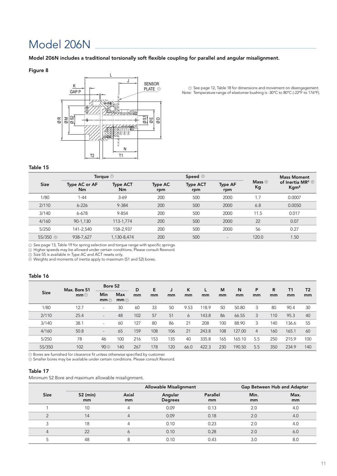### Model 206N

Model 206N includes a traditional torsionally soft flexible coupling for parallel and angular misalignment.

### Figure 8



PLATE See page 12, Table 18 for dimensions and movement on disengagement. Temperature range of elastomer bushing is -30°C to 80°C (-22°F to 176°F). 1 1 *Note:*

### Table 15

| <b>Size</b>         |                                              | Torque $\circledcirc$ |                | Speed $\circledcirc$   |                          | <b>Mass Moment</b><br>of Inertia MR <sup>2</sup> $\circledcirc$<br>Kgm <sup>2</sup> |        |
|---------------------|----------------------------------------------|-----------------------|----------------|------------------------|--------------------------|-------------------------------------------------------------------------------------|--------|
|                     | <b>Type ACT</b><br>Type AC or AF<br>Nm<br>Nm |                       | Type AC<br>rpm | <b>Type ACT</b><br>rpm | <b>Type AF</b><br>rpm    |                                                                                     |        |
| 1/80                | $1 - 44$                                     | $3-69$                | 200            | 500                    | 2000                     | 1.7                                                                                 | 0.0007 |
| 2/110               | $6 - 226$                                    | 9-384                 | 200            | 500                    | 2000                     | 6.8                                                                                 | 0.0050 |
| 3/140               | 6-678                                        | 9-854                 | 200            | 500                    | 2000                     | 11.5                                                                                | 0.017  |
| 4/160               | 90-1,130                                     | 113-1,774             | 200            | 500                    | 2000                     | 22                                                                                  | 0.07   |
| 5/250               | 141-2,540                                    | 158-2,937             | 200            | 500                    | 2000                     | 56                                                                                  | 0.27   |
| 5S/350 <sup>o</sup> | 938-7,627                                    | 1,130-8,474           | 200            | 500                    | $\overline{\phantom{a}}$ | 120.0                                                                               | 1.50   |

See page 13, Table 19 for spring selection and torque range with specific springs.

Higher speeds may be allowed under certain conditions. Please consult Rexnord.

Size 5S is available in Type AC and ACT resets only. 3

Weights and moments of inertia apply to maximum (S1 and S2) bores. 4

### Table 16

|             | Max. Bore S1 | Bore S <sub>2</sub>      |                          | D   | Е   |     | ĸ    |       | M   | N      | P   | R   | Τ1    | T <sub>2</sub> |
|-------------|--------------|--------------------------|--------------------------|-----|-----|-----|------|-------|-----|--------|-----|-----|-------|----------------|
| <b>Size</b> | mm@          | Min<br>$mm \odot$        | <b>Max</b><br>$mm \odot$ | mm  | mm  | mm  | mm   | mm    | mm  | mm     | mm  | mm  | mm    | mm             |
| 1/80        | 12.7         | $\sim$                   | 30                       | 60  | 33  | 50  | 9.53 | 118.9 | 50  | 50.80  | 3   | 80  | 90.4  | 30             |
| 2/110       | 25.4         | $\overline{\phantom{a}}$ | 48                       | 102 | 57  | 51  | 6    | 143.8 | 86  | 66.55  | 3   | 110 | 95.3  | 40             |
| 3/140       | 38.1         | $\sim$                   | 60                       | 127 | 80  | 86  | 21   | 208   | 100 | 88.90  | 3   | 140 | 136.6 | 55             |
| 4/160       | 50.8         | $\overline{\phantom{a}}$ | 65                       | 159 | 108 | 106 | 21   | 243.8 | 108 | 127.00 | 4   | 160 | 165.1 | 60             |
| 5/250       | 78           | 46                       | 100                      | 216 | 153 | 135 | 40   | 335.8 | 165 | 165.10 | 5.5 | 250 | 215.9 | 100            |
| 5S/350      | 102          | 90 <sup>°</sup>          | 140                      | 267 | 178 | 120 | 66.0 | 422.3 | 230 | 190.50 | 5.5 | 350 | 234.9 | 140            |

 ${\mathbb D}$  Bores are furnished for clearance fit unless otherwise specified by customer.

 $\mathfrak D$  Smaller bores may be available under certain conditions. Please consult Rexnord.

### Table 17

Minimum S2 Bore and maximum allowable misalignment.

|             |                  |             | <b>Allowable Misalignment</b> |                | Gap Between Hub and Adapter |            |
|-------------|------------------|-------------|-------------------------------|----------------|-----------------------------|------------|
| <b>Size</b> | $S2$ (min)<br>mm | Axial<br>mm | Angular<br><b>Degrees</b>     | Parallel<br>mm | Min.<br>mm                  | Max.<br>mm |
|             | 10               | 4           | 0.09                          | 0.13           | 2.0                         | 4.0        |
|             | 14               | 4           | 0.09                          | 0.18           | 2.0                         | 4.0        |
|             | 18               | 4           | 0.10                          | 0.23           | 2.0                         | 4.0        |
| 4           | 22               | 6           | 0.10                          | 0.28           | 2.0                         | 6.0        |
|             | 48               | 8           | 0.10                          | 0.43           | 3.0                         | 8.0        |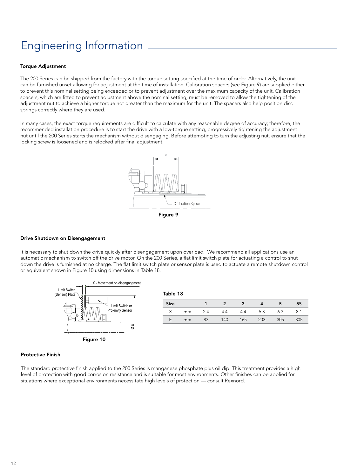### Engineering Information

### **Torque Adjustment**

The 200 Series can be shipped from the factory with the torque setting specified at the time of order. Alternatively, the unit can be furnished unset allowing for adjustment at the time of installation. Calibration spacers (see Figure 9) are supplied either to prevent this nominal setting being exceeded or to prevent adjustment over the maximum capacity of the unit. Calibration spacers, which are fitted to prevent adjustment above the nominal setting, must be removed to allow the tightening of the adjustment nut to achieve a higher torque not greater than the maximum for the unit. The spacers also help position disc springs correctly where they are used.

In many cases, the exact torque requirements are difficult to calculate with any reasonable degree of accuracy; therefore, the recommended installation procedure is to start the drive with a low-torque setting, progressively tightening the adjustment nut until the 200 Series starts the mechanism without disengaging. Before attempting to turn the adjusting nut, ensure that the locking screw is loosened and is relocked after final adjustment.



### Drive Shutdown on Disengagement

It is necessary to shut down the drive quickly after disengagement upon overload. We recommend all applications use an automatic mechanism to switch off the drive motor. On the 200 Series, a flat limit switch plate for actuating a control to shut down the drive is furnished at no charge. The flat limit switch plate or sensor plate is used to actuate a remote shutdown control or equivalent shown in Figure 10 using dimensions in Table 18.



| <b>Size</b> |    |    |     |     |     | э   | 55  |
|-------------|----|----|-----|-----|-----|-----|-----|
|             | mm |    | 4.4 | 4.4 | 5.3 | 6.3 | 8.1 |
|             | mm | 83 | 140 | 165 | 203 | 305 | 305 |

### Protective Finish

The standard protective finish applied to the 200 Series is manganese phosphate plus oil dip. This treatment provides a high level of protection with good corrosion resistance and is suitable for most environments. Other finishes can be applied for situations where exceptional environments necessitate high levels of protection — consult Rexnord.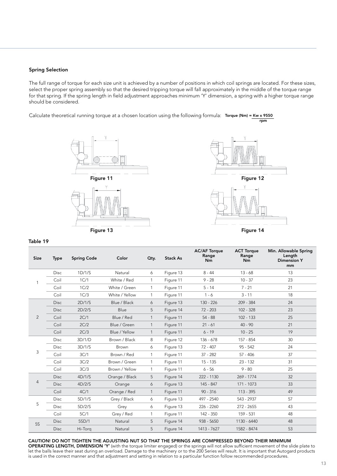### Spring Selection

The full range of torque for each size unit is achieved by a number of positions in which coil springs are located. For these sizes, select the proper spring assembly so that the desired tripping torque will fall approximately in the middle of the torque range for that spring. If the spring length in field adjustment approaches minimum 'Y' dimension, a spring with a higher torque range should be considered.

Calculate theoretical running torque at a chosen location using the following formula: Torque (Nm) = Kw x 9550 rpm





Figure 14

#### Table 19

| <b>Size</b> | <b>Type</b> | <b>Spring Code</b> | Color          | Qty.         | <b>Stack As</b> | <b>AC/AF Torque</b><br>Range<br>Nm | <b>ACT Torque</b><br>Range<br>Nm | Min. Allowable Spring<br>Length<br><b>Dimension Y</b><br>mm |
|-------------|-------------|--------------------|----------------|--------------|-----------------|------------------------------------|----------------------------------|-------------------------------------------------------------|
|             | <b>Disc</b> | 1D/1/S             | Natural        | 6            | Figure 13       | $8 - 44$                           | $13 - 68$                        | 13                                                          |
|             | Coil        | 1C/1               | White / Red    | $\mathbf{1}$ | Figure 11       | $9 - 28$                           | $10 - 37$                        | 23                                                          |
|             | Coil        | 1C/2               | White / Green  | $\mathbf{1}$ | Figure 11       | $5 - 14$                           | $7 - 21$                         | 21                                                          |
|             | Coil        | 1C/3               | White / Yellow | $\mathbf{1}$ | Figure 11       | $1 - 6$                            | $3 - 11$                         | 18                                                          |
|             | <b>Disc</b> | 2D/1/S             | Blue / Black   | 6            | Figure 13       | 130 - 226                          | 209 - 384                        | 24                                                          |
|             | <b>Disc</b> | 2D/2/S             | Blue           | 5            | Figure 14       | $72 - 203$                         | $102 - 328$                      | 23                                                          |
| 2           | Coil        | 2C/1               | Blue / Red     | $\mathbf{1}$ | Figure 11       | $54 - 88$                          | $102 - 133$                      | 25                                                          |
|             | Coil        | 2C/2               | Blue / Green   | $\mathbf{1}$ | Figure 11       | $21 - 61$                          | $40 - 90$                        | 21                                                          |
|             | Coil        | 2C/3               | Blue / Yellow  | $\mathbf{1}$ | Figure 11       | $6 - 19$                           | $10 - 25$                        | 19                                                          |
|             | <b>Disc</b> | 3D/1/D             | Brown / Black  | 8            | Figure 12       | 136 - 678                          | 157 - 854                        | 30                                                          |
|             | <b>Disc</b> | 3D/1/S             | Brown          | 6            | Figure 13       | 72 - 407                           | $95 - 542$                       | 24                                                          |
| 3           | Coil        | 3C/1               | Brown / Red    | $\mathbf{1}$ | Figure 11       | $37 - 282$                         | $57 - 406$                       | 37                                                          |
|             | Coil        | 3C/2               | Brown / Green  | $\mathbf{1}$ | Figure 11       | $15 - 135$                         | $23 - 132$                       | 31                                                          |
|             | Coil        | 3C/3               | Brown / Yellow | $\mathbf{1}$ | Figure 11       | $6 - 56$                           | $9 - 80$                         | 25                                                          |
|             | <b>Disc</b> | 4D/1/S             | Orange / Black | 5            | Figure 14       | 222 - 1130                         | 269 - 1774                       | 32                                                          |
| 4           | <b>Disc</b> | 4D/2/S             | Orange         | 6            | Figure 13       | 145 - 847                          | 171 - 1073                       | 33                                                          |
|             | Coil        | 4C/1               | Orange / Red   | $\mathbf{1}$ | Figure 11       | $90 - 316$                         | $113 - 395$                      | 49                                                          |
|             | <b>Disc</b> | 5D/1/S             | Grey / Black   | 6            | Figure 13       | 497 - 2540                         | 543 - 2937                       | 57                                                          |
| 5           | <b>Disc</b> | 5D/2/S             | Grey           | 6            | Figure 13       | 226 - 2260                         | $272 - 2655$                     | 43                                                          |
|             | Coil        | 5C/1               | Grey / Red     | 1            | Figure 11       | 142 - 350                          | $159 - 531$                      | 48                                                          |
| <b>5S</b>   | <b>Disc</b> | 5SD/1              | Natural        | 5            | Figure 14       | $938 - 5650$                       | 1130 - 6440                      | 48                                                          |
|             | <b>Disc</b> | Hi-Torg            | Natural        | 5            | Figure 14       | 1413 - 7627                        | 1582 - 8474                      | 53                                                          |

### CAUTION! DO NOT TIGHTEN THE ADJUSTING NUT SO THAT THE SPRINGS ARE COMPRESSED BEYOND THEIR MINIMUM

OPERATING LENGTH, DIMENSION 'Y' (with the torque limiter engaged) or the springs will not allow sufficient movement of the slide plate to let the balls leave their seat during an overload. Damage to the machinery or to the 200 Series will result. It is important that Autogard products is used in the correct manner and that adjustment and setting in relation to a particular function follow recommended procedures.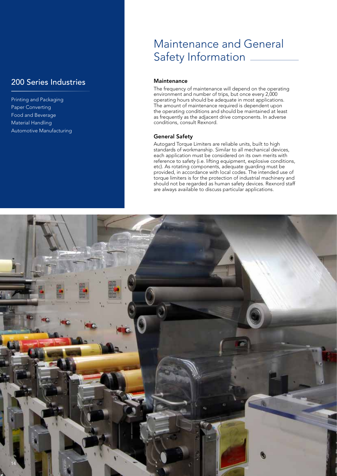### 200 Series Industries

Printing and Packaging Paper Converting Food and Beverage Material Handling Automotive Manufacturing

### Maintenance and General Safety Information \_

### **Maintenance**

The frequency of maintenance will depend on the operating environment and number of trips, but once every 2,000 operating hours should be adequate in most applications. The amount of maintenance required is dependent upon the operating conditions and should be maintained at least as frequently as the adjacent drive components. In adverse conditions, consult Rexnord.

### General Safety

Autogard Torque Limiters are reliable units, built to high standards of workmanship. Similar to all mechanical devices, each application must be considered on its own merits with reference to safety (i.e. lifting equipment, explosive conditions, etc). As rotating components, adequate guarding must be provided, in accordance with local codes. The intended use of torque limiters is for the protection of industrial machinery and should not be regarded as human safety devices. Rexnord staff are always available to discuss particular applications.

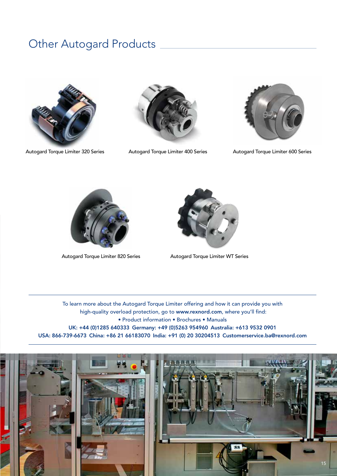### Other Autogard Products







Autogard Torque Limiter 320 Series Autogard Torque Limiter 400 Series Autogard Torque Limiter 600 Series





Autogard Torque Limiter 820 Series Autogard Torque Limiter WT Series

To learn more about the Autogard Torque Limiter offering and how it can provide you with high-quality overload protection, go to www.rexnord.com, where you'll find: • Product information • Brochures • Manuals UK: +44 (0)1285 640333 Germany: +49 (0)5263 954960 Australia: +613 9532 0901 USA: 866-739-6673 China: +86 21 66183070 India: +91 (0) 20 30204513 Customerservice.ba@rexnord.com